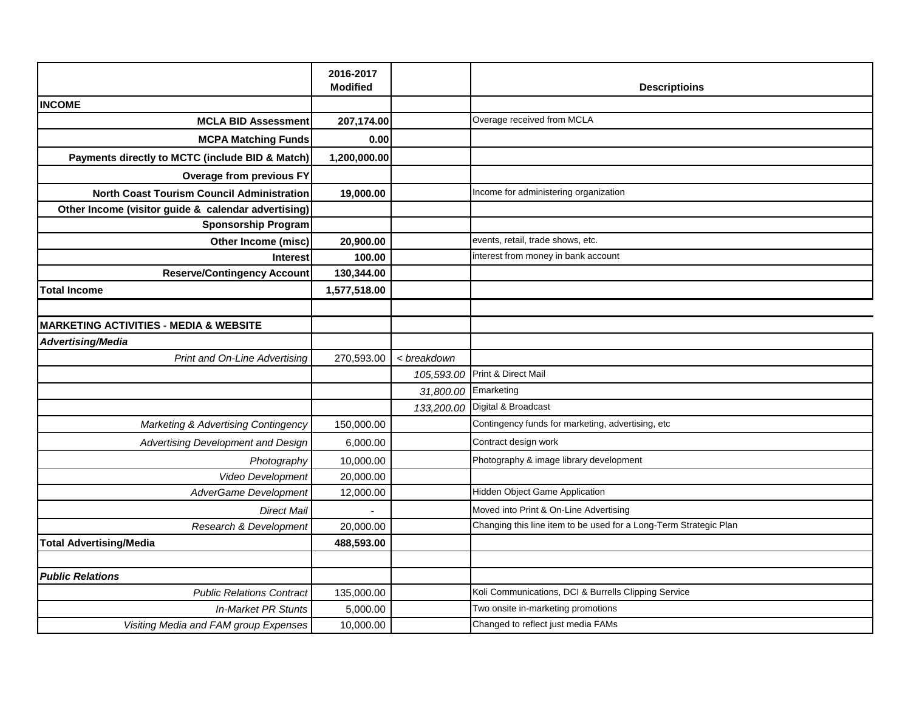|                                                     | 2016-2017       |                      |                                                                   |
|-----------------------------------------------------|-----------------|----------------------|-------------------------------------------------------------------|
|                                                     | <b>Modified</b> |                      | <b>Descriptioins</b>                                              |
| <b>INCOME</b>                                       |                 |                      |                                                                   |
| <b>MCLA BID Assessment</b>                          | 207,174.00      |                      | Overage received from MCLA                                        |
| <b>MCPA Matching Funds</b>                          | 0.00            |                      |                                                                   |
| Payments directly to MCTC (include BID & Match)     | 1,200,000.00    |                      |                                                                   |
| <b>Overage from previous FY</b>                     |                 |                      |                                                                   |
| <b>North Coast Tourism Council Administration</b>   | 19,000.00       |                      | Income for administering organization                             |
| Other Income (visitor guide & calendar advertising) |                 |                      |                                                                   |
| <b>Sponsorship Program</b>                          |                 |                      |                                                                   |
| Other Income (misc)                                 | 20,900.00       |                      | events, retail, trade shows, etc.                                 |
| <b>Interest</b>                                     | 100.00          |                      | interest from money in bank account                               |
| <b>Reserve/Contingency Account</b>                  | 130,344.00      |                      |                                                                   |
| <b>Total Income</b>                                 | 1,577,518.00    |                      |                                                                   |
|                                                     |                 |                      |                                                                   |
| <b>MARKETING ACTIVITIES - MEDIA &amp; WEBSITE</b>   |                 |                      |                                                                   |
| <b>Advertising/Media</b>                            |                 |                      |                                                                   |
| Print and On-Line Advertising                       | 270,593.00      | < breakdown          |                                                                   |
|                                                     |                 | 105,593.00           | Print & Direct Mail                                               |
|                                                     |                 | 31,800.00 Emarketing |                                                                   |
|                                                     |                 | 133,200.00           | Digital & Broadcast                                               |
| Marketing & Advertising Contingency                 | 150,000.00      |                      | Contingency funds for marketing, advertising, etc                 |
| Advertising Development and Design                  | 6,000.00        |                      | Contract design work                                              |
| Photography                                         | 10,000.00       |                      | Photography & image library development                           |
| Video Development                                   | 20,000.00       |                      |                                                                   |
| AdverGame Development                               | 12,000.00       |                      | Hidden Object Game Application                                    |
| <b>Direct Mail</b>                                  |                 |                      | Moved into Print & On-Line Advertising                            |
| Research & Development                              | 20,000.00       |                      | Changing this line item to be used for a Long-Term Strategic Plan |
| <b>Total Advertising/Media</b>                      | 488,593.00      |                      |                                                                   |
|                                                     |                 |                      |                                                                   |
| <b>Public Relations</b>                             |                 |                      |                                                                   |
| <b>Public Relations Contract</b>                    | 135,000.00      |                      | Koli Communications, DCI & Burrells Clipping Service              |
| <b>In-Market PR Stunts</b>                          | 5,000.00        |                      | Two onsite in-marketing promotions                                |
| Visiting Media and FAM group Expenses               | 10,000.00       |                      | Changed to reflect just media FAMs                                |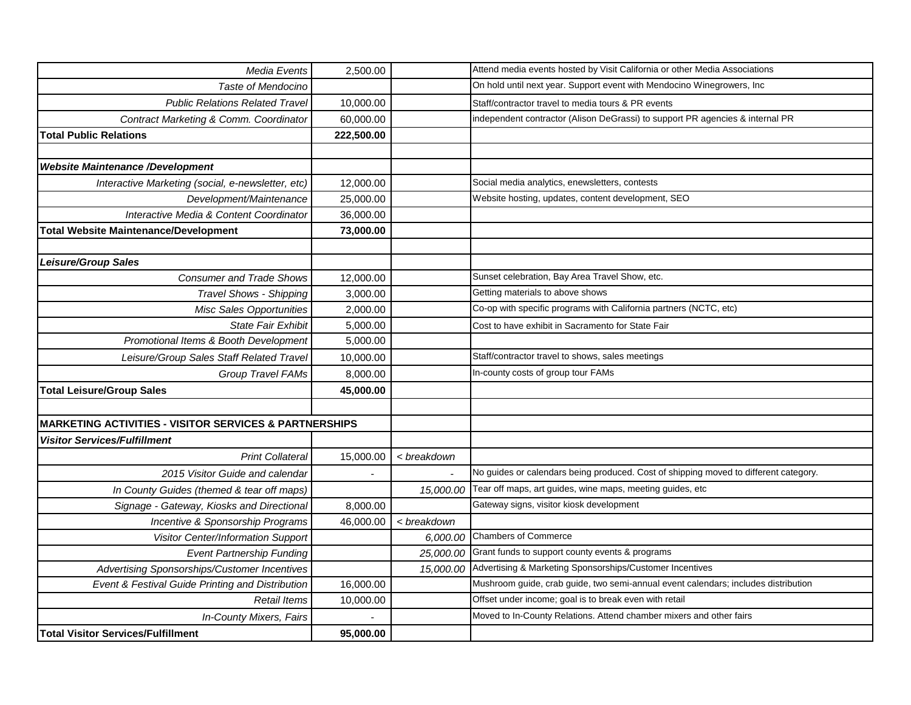| Media Events                                                      | 2,500.00   |             | Attend media events hosted by Visit California or other Media Associations           |
|-------------------------------------------------------------------|------------|-------------|--------------------------------------------------------------------------------------|
| Taste of Mendocino                                                |            |             | On hold until next year. Support event with Mendocino Winegrowers, Inc               |
| <b>Public Relations Related Travel</b>                            | 10,000.00  |             | Staff/contractor travel to media tours & PR events                                   |
| Contract Marketing & Comm. Coordinator                            | 60,000.00  |             | independent contractor (Alison DeGrassi) to support PR agencies & internal PR        |
| <b>Total Public Relations</b>                                     | 222,500.00 |             |                                                                                      |
|                                                                   |            |             |                                                                                      |
| <b>Website Maintenance /Development</b>                           |            |             |                                                                                      |
| Interactive Marketing (social, e-newsletter, etc)                 | 12,000.00  |             | Social media analytics, enewsletters, contests                                       |
| Development/Maintenance                                           | 25,000.00  |             | Website hosting, updates, content development, SEO                                   |
| Interactive Media & Content Coordinator                           | 36,000.00  |             |                                                                                      |
| <b>Total Website Maintenance/Development</b>                      | 73,000.00  |             |                                                                                      |
|                                                                   |            |             |                                                                                      |
| <b>Leisure/Group Sales</b>                                        |            |             |                                                                                      |
| <b>Consumer and Trade Shows</b>                                   | 12,000.00  |             | Sunset celebration, Bay Area Travel Show, etc.                                       |
| <b>Travel Shows - Shipping</b>                                    | 3,000.00   |             | Getting materials to above shows                                                     |
| <b>Misc Sales Opportunities</b>                                   | 2,000.00   |             | Co-op with specific programs with California partners (NCTC, etc)                    |
| <b>State Fair Exhibit</b>                                         | 5,000.00   |             | Cost to have exhibit in Sacramento for State Fair                                    |
| Promotional Items & Booth Development                             | 5,000.00   |             |                                                                                      |
| Leisure/Group Sales Staff Related Travel                          | 10,000.00  |             | Staff/contractor travel to shows, sales meetings                                     |
| Group Travel FAMs                                                 | 8,000.00   |             | In-county costs of group tour FAMs                                                   |
| <b>Total Leisure/Group Sales</b>                                  | 45,000.00  |             |                                                                                      |
|                                                                   |            |             |                                                                                      |
| <b>MARKETING ACTIVITIES - VISITOR SERVICES &amp; PARTNERSHIPS</b> |            |             |                                                                                      |
| <b>Visitor Services/Fulfillment</b>                               |            |             |                                                                                      |
| <b>Print Collateral</b>                                           | 15,000.00  | < breakdown |                                                                                      |
| 2015 Visitor Guide and calendar                                   |            |             | No guides or calendars being produced. Cost of shipping moved to different category. |
| In County Guides (themed & tear off maps)                         |            | 15,000.00   | Tear off maps, art guides, wine maps, meeting guides, etc                            |
| Signage - Gateway, Kiosks and Directional                         | 8,000.00   |             | Gateway signs, visitor kiosk development                                             |
| Incentive & Sponsorship Programs                                  | 46,000.00  | < breakdown |                                                                                      |
| Visitor Center/Information Support                                |            | 6,000.00    | <b>Chambers of Commerce</b>                                                          |
| <b>Event Partnership Funding</b>                                  |            | 25,000.00   | Grant funds to support county events & programs                                      |
| Advertising Sponsorships/Customer Incentives                      |            | 15,000.00   | Advertising & Marketing Sponsorships/Customer Incentives                             |
| Event & Festival Guide Printing and Distribution                  | 16,000.00  |             | Mushroom guide, crab guide, two semi-annual event calendars; includes distribution   |
| <b>Retail Items</b>                                               | 10,000.00  |             | Offset under income; goal is to break even with retail                               |
| In-County Mixers, Fairs                                           |            |             | Moved to In-County Relations. Attend chamber mixers and other fairs                  |
| <b>Total Visitor Services/Fulfillment</b>                         | 95,000.00  |             |                                                                                      |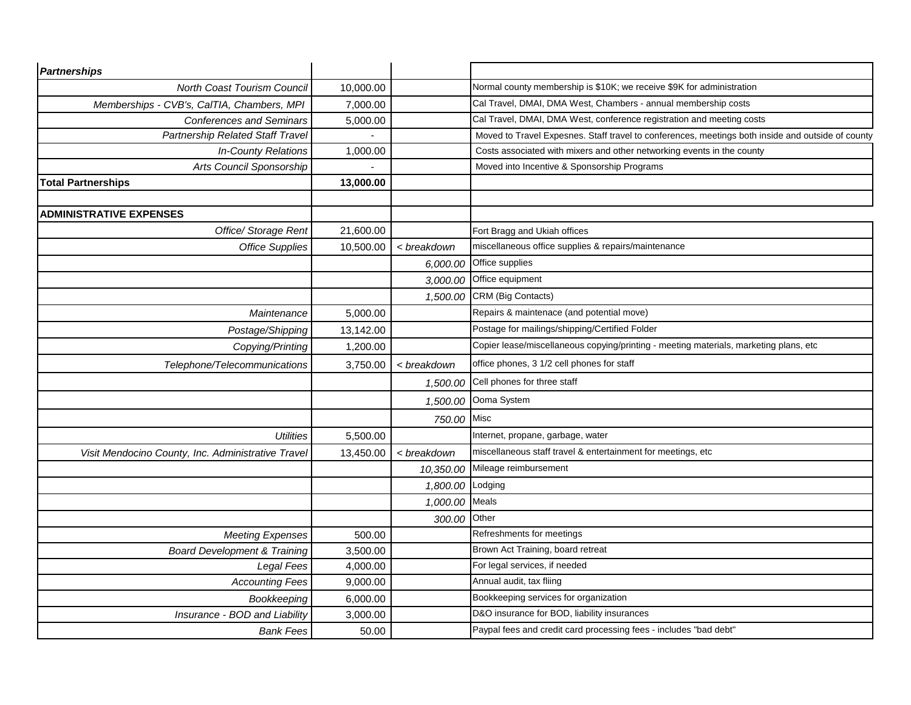| <b>Partnerships</b>                                |           |                |                                                                                                   |
|----------------------------------------------------|-----------|----------------|---------------------------------------------------------------------------------------------------|
| North Coast Tourism Council                        | 10,000.00 |                | Normal county membership is \$10K; we receive \$9K for administration                             |
| Memberships - CVB's, CalTIA, Chambers, MPI         | 7,000.00  |                | Cal Travel, DMAI, DMA West, Chambers - annual membership costs                                    |
| <b>Conferences and Seminars</b>                    | 5,000.00  |                | Cal Travel, DMAI, DMA West, conference registration and meeting costs                             |
| Partnership Related Staff Travel                   |           |                | Moved to Travel Expesnes. Staff travel to conferences, meetings both inside and outside of county |
| <b>In-County Relations</b>                         | 1,000.00  |                | Costs associated with mixers and other networking events in the county                            |
| Arts Council Sponsorship                           |           |                | Moved into Incentive & Sponsorship Programs                                                       |
| <b>Total Partnerships</b>                          | 13,000.00 |                |                                                                                                   |
|                                                    |           |                |                                                                                                   |
| <b>ADMINISTRATIVE EXPENSES</b>                     |           |                |                                                                                                   |
| Office/ Storage Rent                               | 21,600.00 |                | Fort Bragg and Ukiah offices                                                                      |
| <b>Office Supplies</b>                             | 10,500.00 | < breakdown    | miscellaneous office supplies & repairs/maintenance                                               |
|                                                    |           | 6,000.00       | Office supplies                                                                                   |
|                                                    |           | 3,000.00       | Office equipment                                                                                  |
|                                                    |           | 1,500.00       | CRM (Big Contacts)                                                                                |
| Maintenance                                        | 5,000.00  |                | Repairs & maintenace (and potential move)                                                         |
| Postage/Shipping                                   | 13,142.00 |                | Postage for mailings/shipping/Certified Folder                                                    |
| Copying/Printing                                   | 1,200.00  |                | Copier lease/miscellaneous copying/printing - meeting materials, marketing plans, etc             |
| Telephone/Telecommunications                       | 3,750.00  | < breakdown    | office phones, 3 1/2 cell phones for staff                                                        |
|                                                    |           | 1,500.00       | Cell phones for three staff                                                                       |
|                                                    |           | 1,500.00       | Ooma System                                                                                       |
|                                                    |           | 750.00 Misc    |                                                                                                   |
| <b>Utilities</b>                                   | 5,500.00  |                | Internet, propane, garbage, water                                                                 |
| Visit Mendocino County, Inc. Administrative Travel | 13,450.00 | < breakdown    | miscellaneous staff travel & entertainment for meetings, etc                                      |
|                                                    |           | 10,350.00      | Mileage reimbursement                                                                             |
|                                                    |           | 1,800.00       | Lodging                                                                                           |
|                                                    |           | 1,000.00 Meals |                                                                                                   |
|                                                    |           | 300.00         | Other                                                                                             |
| <b>Meeting Expenses</b>                            | 500.00    |                | Refreshments for meetings                                                                         |
| <b>Board Development &amp; Training</b>            | 3,500.00  |                | Brown Act Training, board retreat                                                                 |
| Legal Fees                                         | 4,000.00  |                | For legal services, if needed                                                                     |
| <b>Accounting Fees</b>                             | 9,000.00  |                | Annual audit, tax fliing                                                                          |
| Bookkeeping                                        | 6,000.00  |                | Bookkeeping services for organization                                                             |
| Insurance - BOD and Liability                      | 3,000.00  |                | D&O insurance for BOD, liability insurances                                                       |
| <b>Bank Fees</b>                                   | 50.00     |                | Paypal fees and credit card processing fees - includes "bad debt"                                 |